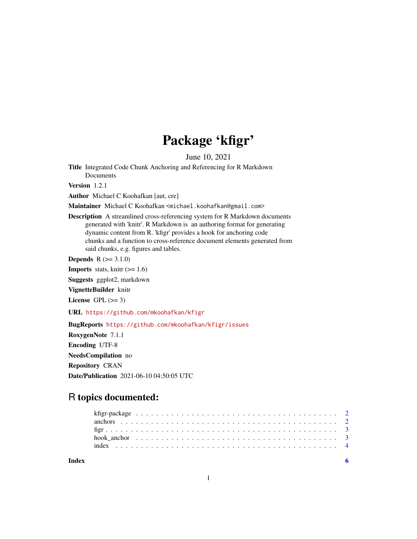## Package 'kfigr'

June 10, 2021

Title Integrated Code Chunk Anchoring and Referencing for R Markdown Documents

Version 1.2.1

Author Michael C Koohafkan [aut, cre]

Maintainer Michael C Koohafkan <michael.koohafkan@gmail.com>

Description A streamlined cross-referencing system for R Markdown documents generated with 'knitr'. R Markdown is an authoring format for generating dynamic content from R. 'kfigr' provides a hook for anchoring code chunks and a function to cross-reference document elements generated from said chunks, e.g. figures and tables.

**Depends**  $R (= 3.1.0)$ 

**Imports** stats, knitr  $(>= 1.6)$ 

Suggests ggplot2, markdown

VignetteBuilder knitr

License GPL  $(>= 3)$ 

URL <https://github.com/mkoohafkan/kfigr>

BugReports <https://github.com/mkoohafkan/kfigr/issues>

RoxygenNote 7.1.1

Encoding UTF-8

NeedsCompilation no

Repository CRAN

Date/Publication 2021-06-10 04:50:05 UTC

### R topics documented:

1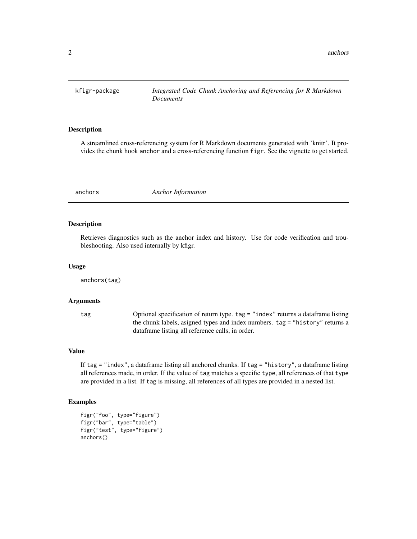<span id="page-1-0"></span>

#### Description

A streamlined cross-referencing system for R Markdown documents generated with 'knitr'. It provides the chunk hook anchor and a cross-referencing function figr. See the vignette to get started.

<span id="page-1-1"></span>anchors *Anchor Information*

#### Description

Retrieves diagnostics such as the anchor index and history. Use for code verification and troubleshooting. Also used internally by kfigr.

#### Usage

anchors(tag)

#### **Arguments**

tag Optional specification of return type. tag = "index" returns a dataframe listing the chunk labels, asigned types and index numbers. tag = "history" returns a dataframe listing all reference calls, in order.

#### Value

If tag = "index", a dataframe listing all anchored chunks. If tag = "history", a dataframe listing all references made, in order. If the value of tag matches a specific type, all references of that type are provided in a list. If tag is missing, all references of all types are provided in a nested list.

#### Examples

```
figr("foo", type="figure")
figr("bar", type="table")
figr("test", type="figure")
anchors()
```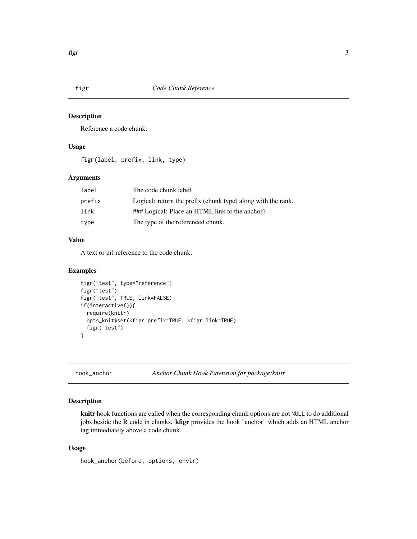<span id="page-2-1"></span><span id="page-2-0"></span>

#### Description

Reference a code chunk.

#### Usage

figr(label, prefix, link, type)

#### Arguments

| label  | The code chunk label.                                        |
|--------|--------------------------------------------------------------|
| prefix | Logical: return the prefix (chunk type) along with the rank. |
| link   | ### Logical: Place an HTML link to the anchor?               |
| type   | The type of the referenced chunk.                            |

#### Value

A text or url reference to the code chunk.

#### Examples

```
figr("test", type="reference")
figr("test")
figr("test", TRUE, link=FALSE)
if(interactive()){
  require(knitr)
  opts_knit$set(kfigr.prefix=TRUE, kfigr.link=TRUE)
  figr("test")
}
```
hook\_anchor *Anchor Chunk Hook Extension for package:knitr*

#### Description

knitr hook functions are called when the corresponding chunk options are not NULL to do additional jobs beside the R code in chunks. kfigr provides the hook "anchor" which adds an HTML anchor tag immediately above a code chunk.

#### Usage

hook\_anchor(before, options, envir)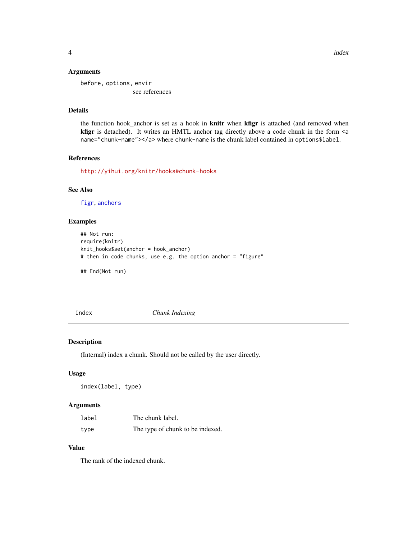#### <span id="page-3-0"></span>Arguments

before, options, envir see references

#### Details

the function hook\_anchor is set as a hook in knitr when kfigr is attached (and removed when kfigr is detached). It writes an HMTL anchor tag directly above a code chunk in the form <a name="chunk-name"></a> where chunk-name is the chunk label contained in options\$label.

#### References

<http://yihui.org/knitr/hooks#chunk-hooks>

#### See Also

[figr](#page-2-1), [anchors](#page-1-1)

#### Examples

```
## Not run:
require(knitr)
knit_hooks$set(anchor = hook_anchor)
# then in code chunks, use e.g. the option anchor = "figure"
```
## End(Not run)

index *Chunk Indexing*

#### Description

(Internal) index a chunk. Should not be called by the user directly.

#### Usage

```
index(label, type)
```
#### Arguments

| label | The chunk label.                 |
|-------|----------------------------------|
| type  | The type of chunk to be indexed. |

#### Value

The rank of the indexed chunk.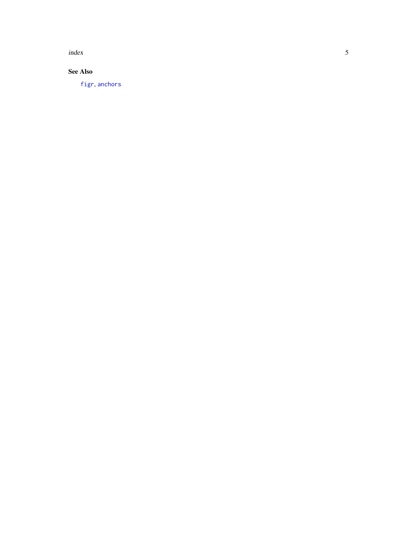<span id="page-4-0"></span>index

#### See Also

[figr](#page-2-1) , [anchors](#page-1-1)